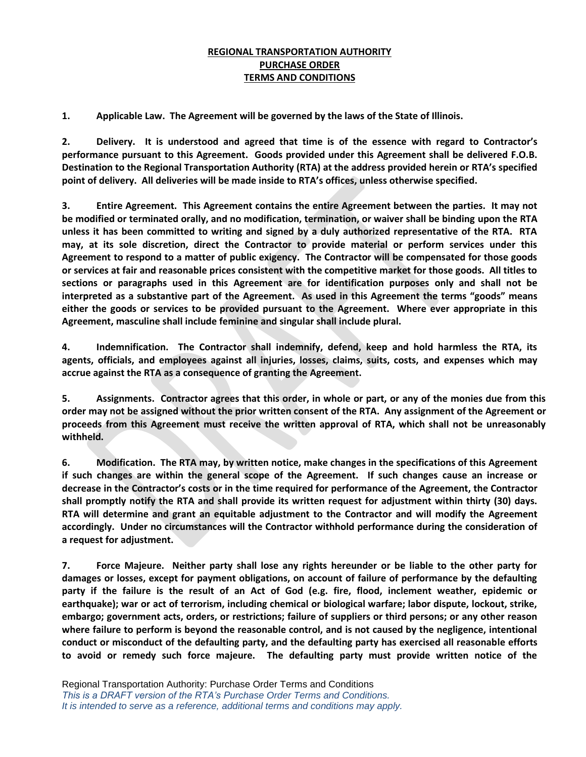## **REGIONAL TRANSPORTATION AUTHORITY PURCHASE ORDER TERMS AND CONDITIONS**

**1. Applicable Law. The Agreement will be governed by the laws of the State of Illinois.**

**2. Delivery. It is understood and agreed that time is of the essence with regard to Contractor's performance pursuant to this Agreement. Goods provided under this Agreement shall be delivered F.O.B. Destination to the Regional Transportation Authority (RTA) at the address provided herein or RTA's specified point of delivery. All deliveries will be made inside to RTA's offices, unless otherwise specified.**

**3. Entire Agreement. This Agreement contains the entire Agreement between the parties. It may not be modified or terminated orally, and no modification, termination, or waiver shall be binding upon the RTA unless it has been committed to writing and signed by a duly authorized representative of the RTA. RTA may, at its sole discretion, direct the Contractor to provide material or perform services under this Agreement to respond to a matter of public exigency. The Contractor will be compensated for those goods or services at fair and reasonable prices consistent with the competitive market for those goods. All titles to sections or paragraphs used in this Agreement are for identification purposes only and shall not be interpreted as a substantive part of the Agreement. As used in this Agreement the terms "goods" means either the goods or services to be provided pursuant to the Agreement. Where ever appropriate in this Agreement, masculine shall include feminine and singular shall include plural.**

**4. Indemnification. The Contractor shall indemnify, defend, keep and hold harmless the RTA, its agents, officials, and employees against all injuries, losses, claims, suits, costs, and expenses which may accrue against the RTA as a consequence of granting the Agreement.**

**5. Assignments. Contractor agrees that this order, in whole or part, or any of the monies due from this order may not be assigned without the prior written consent of the RTA. Any assignment of the Agreement or proceeds from this Agreement must receive the written approval of RTA, which shall not be unreasonably withheld.**

**6. Modification. The RTA may, by written notice, make changes in the specifications of this Agreement if such changes are within the general scope of the Agreement. If such changes cause an increase or decrease in the Contractor's costs or in the time required for performance of the Agreement, the Contractor shall promptly notify the RTA and shall provide its written request for adjustment within thirty (30) days. RTA will determine and grant an equitable adjustment to the Contractor and will modify the Agreement accordingly. Under no circumstances will the Contractor withhold performance during the consideration of a request for adjustment.**

**7. Force Majeure. Neither party shall lose any rights hereunder or be liable to the other party for damages or losses, except for payment obligations, on account of failure of performance by the defaulting party if the failure is the result of an Act of God (e.g. fire, flood, inclement weather, epidemic or earthquake); war or act of terrorism, including chemical or biological warfare; labor dispute, lockout, strike, embargo; government acts, orders, or restrictions; failure of suppliers or third persons; or any other reason where failure to perform is beyond the reasonable control, and is not caused by the negligence, intentional conduct or misconduct of the defaulting party, and the defaulting party has exercised all reasonable efforts to avoid or remedy such force majeure. The defaulting party must provide written notice of the**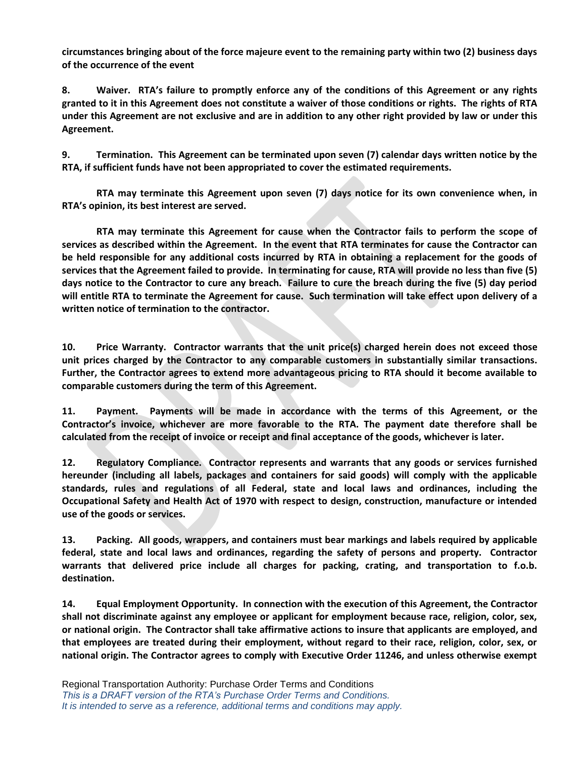**circumstances bringing about of the force majeure event to the remaining party within two (2) business days of the occurrence of the event**

**8. Waiver. RTA's failure to promptly enforce any of the conditions of this Agreement or any rights granted to it in this Agreement does not constitute a waiver of those conditions or rights. The rights of RTA under this Agreement are not exclusive and are in addition to any other right provided by law or under this Agreement.**

**9. Termination. This Agreement can be terminated upon seven (7) calendar days written notice by the RTA, if sufficient funds have not been appropriated to cover the estimated requirements.**

**RTA may terminate this Agreement upon seven (7) days notice for its own convenience when, in RTA's opinion, its best interest are served.** 

**RTA may terminate this Agreement for cause when the Contractor fails to perform the scope of services as described within the Agreement. In the event that RTA terminates for cause the Contractor can be held responsible for any additional costs incurred by RTA in obtaining a replacement for the goods of services that the Agreement failed to provide. In terminating for cause, RTA will provide no less than five (5) days notice to the Contractor to cure any breach. Failure to cure the breach during the five (5) day period will entitle RTA to terminate the Agreement for cause. Such termination will take effect upon delivery of a written notice of termination to the contractor.**

**10. Price Warranty. Contractor warrants that the unit price(s) charged herein does not exceed those unit prices charged by the Contractor to any comparable customers in substantially similar transactions. Further, the Contractor agrees to extend more advantageous pricing to RTA should it become available to comparable customers during the term of this Agreement.**

**11. Payment. Payments will be made in accordance with the terms of this Agreement, or the Contractor's invoice, whichever are more favorable to the RTA. The payment date therefore shall be calculated from the receipt of invoice or receipt and final acceptance of the goods, whichever is later.**

**12. Regulatory Compliance. Contractor represents and warrants that any goods or services furnished hereunder (including all labels, packages and containers for said goods) will comply with the applicable standards, rules and regulations of all Federal, state and local laws and ordinances, including the Occupational Safety and Health Act of 1970 with respect to design, construction, manufacture or intended use of the goods or services.**

**13. Packing. All goods, wrappers, and containers must bear markings and labels required by applicable federal, state and local laws and ordinances, regarding the safety of persons and property. Contractor warrants that delivered price include all charges for packing, crating, and transportation to f.o.b. destination.**

**14. Equal Employment Opportunity. In connection with the execution of this Agreement, the Contractor shall not discriminate against any employee or applicant for employment because race, religion, color, sex, or national origin. The Contractor shall take affirmative actions to insure that applicants are employed, and that employees are treated during their employment, without regard to their race, religion, color, sex, or national origin. The Contractor agrees to comply with Executive Order 11246, and unless otherwise exempt**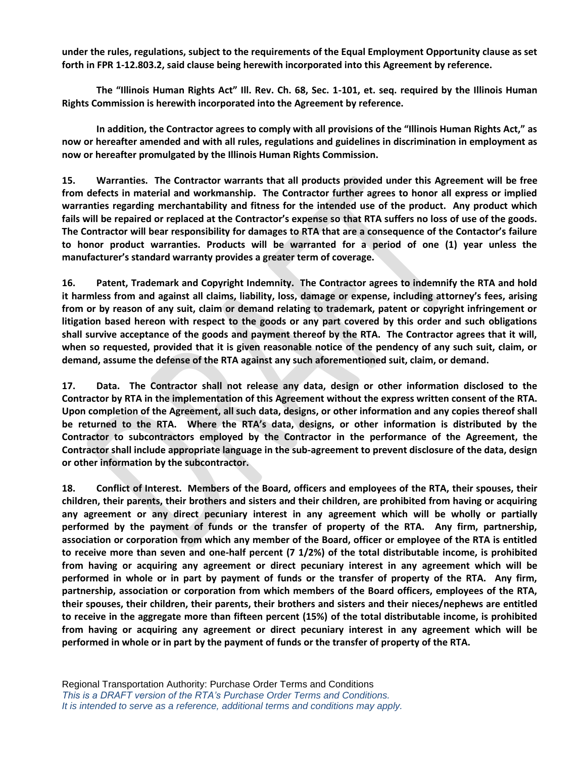**under the rules, regulations, subject to the requirements of the Equal Employment Opportunity clause as set forth in FPR 1-12.803.2, said clause being herewith incorporated into this Agreement by reference.**

**The "Illinois Human Rights Act" Ill. Rev. Ch. 68, Sec. 1-101, et. seq. required by the Illinois Human Rights Commission is herewith incorporated into the Agreement by reference.**

**In addition, the Contractor agrees to comply with all provisions of the "Illinois Human Rights Act," as now or hereafter amended and with all rules, regulations and guidelines in discrimination in employment as now or hereafter promulgated by the Illinois Human Rights Commission.**

**15. Warranties. The Contractor warrants that all products provided under this Agreement will be free from defects in material and workmanship. The Contractor further agrees to honor all express or implied warranties regarding merchantability and fitness for the intended use of the product. Any product which fails will be repaired or replaced at the Contractor's expense so that RTA suffers no loss of use of the goods. The Contractor will bear responsibility for damages to RTA that are a consequence of the Contactor's failure to honor product warranties. Products will be warranted for a period of one (1) year unless the manufacturer's standard warranty provides a greater term of coverage.**

**16. Patent, Trademark and Copyright Indemnity. The Contractor agrees to indemnify the RTA and hold it harmless from and against all claims, liability, loss, damage or expense, including attorney's fees, arising from or by reason of any suit, claim or demand relating to trademark, patent or copyright infringement or litigation based hereon with respect to the goods or any part covered by this order and such obligations shall survive acceptance of the goods and payment thereof by the RTA. The Contractor agrees that it will, when so requested, provided that it is given reasonable notice of the pendency of any such suit, claim, or demand, assume the defense of the RTA against any such aforementioned suit, claim, or demand.**

**17. Data. The Contractor shall not release any data, design or other information disclosed to the Contractor by RTA in the implementation of this Agreement without the express written consent of the RTA. Upon completion of the Agreement, all such data, designs, or other information and any copies thereof shall be returned to the RTA. Where the RTA's data, designs, or other information is distributed by the Contractor to subcontractors employed by the Contractor in the performance of the Agreement, the Contractor shall include appropriate language in the sub-agreement to prevent disclosure of the data, design or other information by the subcontractor.**

**18. Conflict of Interest. Members of the Board, officers and employees of the RTA, their spouses, their children, their parents, their brothers and sisters and their children, are prohibited from having or acquiring any agreement or any direct pecuniary interest in any agreement which will be wholly or partially performed by the payment of funds or the transfer of property of the RTA. Any firm, partnership, association or corporation from which any member of the Board, officer or employee of the RTA is entitled to receive more than seven and one-half percent (7 1/2%) of the total distributable income, is prohibited from having or acquiring any agreement or direct pecuniary interest in any agreement which will be performed in whole or in part by payment of funds or the transfer of property of the RTA. Any firm, partnership, association or corporation from which members of the Board officers, employees of the RTA, their spouses, their children, their parents, their brothers and sisters and their nieces/nephews are entitled to receive in the aggregate more than fifteen percent (15%) of the total distributable income, is prohibited from having or acquiring any agreement or direct pecuniary interest in any agreement which will be performed in whole or in part by the payment of funds or the transfer of property of the RTA.**